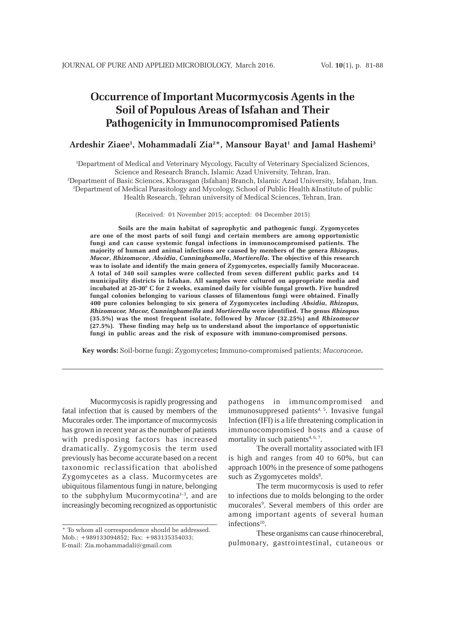# **Occurrence of Important Mucormycosis Agents in the Soil of Populous Areas of Isfahan and Their Pathogenicity in Immunocompromised Patients**

# **Ardeshir Ziaee1 , Mohammadali Zia2 \*, Mansour Bayat1 and Jamal Hashemi3**

1 Department of Medical and Veterinary Mycology, Faculty of Veterinary Specialized Sciences, Science and Research Branch, Islamic Azad University, Tehran, Iran. 2 Department of Basic Sciences, Khorasgan (Isfahan) Branch, Islamic Azad University, Isfahan, Iran. 3 Department of Medical Parasitology and Mycology, School of Public Health &Institute of public Health Research, Tehran university of Medical Sciences, Tehran, Iran.

(Received: 01 November 2015; accepted: 04 December 2015)

**Soils are the main habitat of saprophytic and pathogenic fungi. Zygomycetes are one of the most parts of soil fungi and certain members are among opportunistic fungi and can cause systemic fungal infections in immunocompromised patients. The majority of human and animal infections are caused by members of the genera** *Rhizopus***,** *Mucor***,** *Rhizomucor***,** *Absidia***,** *Cunninghamella***,** *Mortierella***. The objective of this research was to isolate and identify the main genera of Zygomycetes, especially family Mucoraceae. A total of 340 soil samples were collected from seven different public parks and 14 municipality districts in Isfahan. All samples were cultured on appropriate media and incubated at 25-30° C for 2 weeks, examined daily for visible fungal growth. Five hundred fungal colonies belonging to various classes of filamentous fungi were obtained. Finally 400 pure colonies belonging to six genera of Zygomycetes including** *Absidia***,** *Rhizopus, Rhizomucor, Mucor, Cunninghamella* **and** *Mortierella* **were identified***.* **The genus** *Rhizopus* **(35.5%) was the most frequent isolate, followed by** *Mucor* **(32.25%) and** *Rhizomucor* **(27.5%). These finding may help us to understand about the importance of opportunistic fungi in public areas and the risk of exposure with immuno-compromised persons.**

**Key words:** Soil-borne fungi; Zygomycetes**;** Immuno-compromised patients; *Mucoraceae***.**

Mucormycosis is rapidly progressing and fatal infection that is caused by members of the Mucorales order. The importance of mucormycosis has grown in recent year as the number of patients with predisposing factors has increased dramatically. Zygomycosis the term used previously has become accurate based on a recent taxonomic reclassification that abolished Zygomycetes as a class. Mucormycetes are ubiquitous filamentous fungi in nature, belonging to the subphylum Mucormycotina<sup>1-3</sup>, and are increasingly becoming recognized as opportunistic pathogens in immuncompromised and immunosuppresed patients<sup>4, 5</sup>. Invasive fungal Infection (IFI) is a life threatening complication in immunocompromised hosts and a cause of mortality in such patients<sup>4,  $6, 7$ </sup>.

The overall mortality associated with IFI is high and ranges from 40 to 60%, but can approach 100% in the presence of some pathogens such as Zygomycetes molds<sup>8</sup>.

The term mucormycosis is used to refer to infections due to molds belonging to the order mucorales<sup>9</sup>. Several members of this order are among important agents of several human infections $10$ .

These organisms can cause rhinocerebral, pulmonary, gastrointestinal, cutaneous or

<sup>\*</sup> To whom all correspondence should be addressed. Mob.: +989133094852; Fax: +983135354033; E-mail: Zia.mohammadali@gmail.com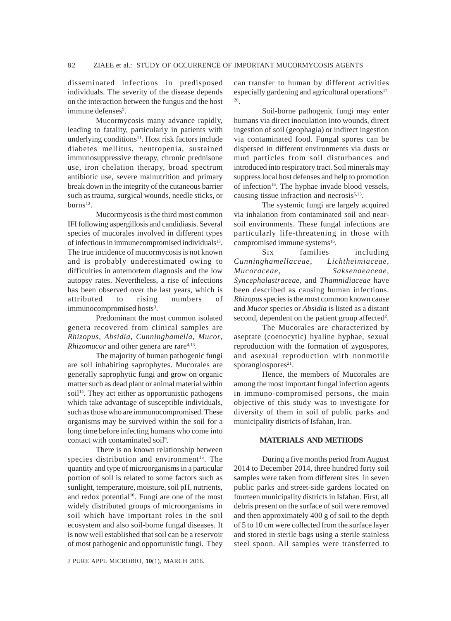disseminated infections in predisposed individuals. The severity of the disease depends on the interaction between the fungus and the host immune defenses<sup>9</sup>.

Mucormycosis many advance rapidly, leading to fatality, particularly in patients with underlying conditions $11$ . Host risk factors include diabetes mellitus, neutropenia, sustained immunosuppressive therapy, chronic prednisone use, iron chelation therapy, broad spectrum antibiotic use, severe malnutrition and primary break down in the integrity of the cutaneous barrier such as trauma, surgical wounds, needle sticks, or  $burns<sup>12</sup>$ .

Mucormycosis is the third most common IFI following aspergillosis and candidiasis. Several species of mucorales involved in different types of infectious in immunecompromised individuals<sup>13</sup>. The true incidence of mucormycosis is not known and is probably underestimated owing to difficulties in antemortem diagnosis and the low autopsy rates. Nevertheless, a rise of infections has been observed over the last years, which is attributed to rising numbers of immunocompromised hosts<sup>3</sup>.

Predominant the most common isolated genera recovered from clinical samples are *Rhizopus*, *Absidia*, *Cunninghamella*, *Mucor*, *Rhizomucor* and other genera are rare<sup>4,13</sup>.

The majority of human pathogenic fungi are soil inhabiting saprophytes. Mucorales are generally saprophytic fungi and grow on organic matter such as dead plant or animal material within soil<sup>14</sup>. They act either as opportunistic pathogens which take advantage of susceptible individuals, such as those who are immunocompromised. These organisms may be survived within the soil for a long time before infecting humans who come into contact with contaminated soil<sup>9</sup>.

There is no known relationship between species distribution and environment<sup>15</sup>. The quantity and type of microorganisms in a particular portion of soil is related to some factors such as sunlight, temperature, moisture, soil pH, nutrients, and redox potential<sup>16</sup>. Fungi are one of the most widely distributed groups of microorganisms in soil which have important roles in the soil ecosystem and also soil-borne fungal diseases. It is now well established that soil can be a reservoir of most pathogenic and opportunistic fungi. They

J PURE APPL MICROBIO*,* **10**(1), MARCH 2016.

can transfer to human by different activities especially gardening and agricultural operations<sup>17-</sup> 20.

Soil-borne pathogenic fungi may enter humans via direct inoculation into wounds, direct ingestion of soil (geophagia) or indirect ingestion via contaminated food. Fungal spores can be dispersed in different environments via dusts or mud particles from soil disturbances and introduced into respiratory tract. Soil minerals may suppress local host defenses and help to promotion of infection<sup>16</sup>. The hyphae invade blood vessels, causing tissue infraction and necrosis $5,13$ .

The systemic fungi are largely acquired via inhalation from contaminated soil and nearsoil environments. These fungal infections are particularly life-threatening in those with compromised immune systems<sup>16</sup>.

Six families including *Cunninghamellaceae, Lichtheimiaceae, Mucoraceae, Saksenaeaceae, Syncephalastraceae,* and *Thamnidiaceae* have been described as causing human infections. *Rhizopus* species is the most common known cause and *Mucor* species or *Absidia* is listed as a distant second, dependent on the patient group affected<sup>2</sup>.

The Mucorales are characterized by aseptate (coenocytic) hyaline hyphae, sexual reproduction with the formation of zygospores, and asexual reproduction with nonmotile sporangiospores $21$ .

Hence, the members of Mucorales are among the most important fungal infection agents in immuno-compromised persons, the main objective of this study was to investigate for diversity of them in soil of public parks and municipality districts of Isfahan, Iran.

## **MATERIALS AND METHODS**

During a five months period from August 2014 to December 2014, three hundred forty soil samples were taken from different sites in seven public parks and street-side gardens located on fourteen municipality districts in Isfahan. First, all debris present on the surface of soil were removed and then approximately 400 g of soil to the depth of 5 to 10 cm were collected from the surface layer and stored in sterile bags using a sterile stainless steel spoon. All samples were transferred to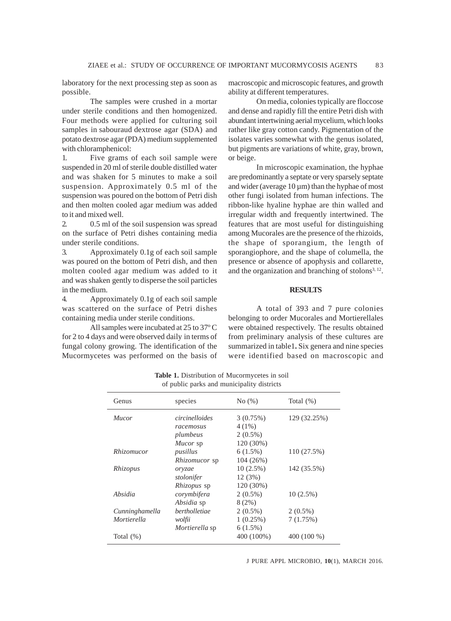laboratory for the next processing step as soon as possible.

The samples were crushed in a mortar under sterile conditions and then homogenized. Four methods were applied for culturing soil samples in sabouraud dextrose agar (SDA) and potato dextrose agar (PDA) medium supplemented with chloramphenicol:

1. Five grams of each soil sample were suspended in 20 ml of sterile double distilled water and was shaken for 5 minutes to make a soil suspension. Approximately 0.5 ml of the suspension was poured on the bottom of Petri dish and then molten cooled agar medium was added to it and mixed well.

2. 0.5 ml of the soil suspension was spread on the surface of Petri dishes containing media under sterile conditions.

3. Approximately 0.1g of each soil sample was poured on the bottom of Petri dish, and then molten cooled agar medium was added to it and was shaken gently to disperse the soil particles in the medium.

4. Approximately 0.1g of each soil sample was scattered on the surface of Petri dishes containing media under sterile conditions.

All samples were incubated at 25 to 37º C for 2 to 4 days and were observed daily in terms of fungal colony growing. The identification of the Mucormycetes was performed on the basis of macroscopic and microscopic features, and growth ability at different temperatures.

On media, colonies typically are floccose and dense and rapidly fill the entire Petri dish with abundant intertwining aerial mycelium, which looks rather like gray cotton candy. Pigmentation of the isolates varies somewhat with the genus isolated, but pigments are variations of white, gray, brown, or beige.

In microscopic examination, the hyphae are predominantly a septate or very sparsely septate and wider (average  $10 \mu m$ ) than the hyphae of most other fungi isolated from human infections. The ribbon-like hyaline hyphae are thin walled and irregular width and frequently intertwined. The features that are most useful for distinguishing among Mucorales are the presence of the rhizoids, the shape of sporangium, the length of sporangiophore, and the shape of columella, the presence or absence of apophysis and collarette, and the organization and branching of stolons $3, 12$ .

## **RESULTS**

A total of 393 and 7 pure colonies belonging to order Mucorales and Mortierellales were obtained respectively. The results obtained from preliminary analysis of these cultures are summarized in table1**.** Six genera and nine species were identified based on macroscopic and

|                   | of pablic parks and manicipality districts |             |              |
|-------------------|--------------------------------------------|-------------|--------------|
| Genus             | species                                    | No(%)       | Total $(\%)$ |
| Mucor             | circinelloides                             | 3(0.75%)    | 129 (32.25%) |
|                   | racemosus                                  | $4(1\%)$    |              |
|                   | plumbeus                                   | $2(0.5\%)$  |              |
|                   | Mucor sp                                   | 120 (30%)   |              |
| <i>Rhizomucor</i> | pusillus                                   | $6(1.5\%)$  | 110 (27.5%)  |
|                   | <i>Rhizomucor</i> sp                       | 104 (26%)   |              |
| Rhizopus          | oryzae                                     | $10(2.5\%)$ | 142 (35.5%)  |
|                   | stolonifer                                 | 12(3%)      |              |
|                   | <i>Rhizopus</i> sp                         | 120 (30%)   |              |
| Absidia           | corymbifera                                | $2(0.5\%)$  | $10(2.5\%)$  |
|                   | Absidia sp                                 | 8(2%)       |              |
| Cunninghamella    | bertholletiae                              | $2(0.5\%)$  | $2(0.5\%)$   |
| Mortierella       | wolfii                                     | 1(0.25%)    | 7(1.75%)     |
|                   | Mortierella sp                             | $6(1.5\%)$  |              |
| Total $(\%)$      |                                            | 400 (100%)  | 400 (100 %)  |
|                   |                                            |             |              |

**Table 1.** Distribution of Mucormycetes in soil of public parks and municipality districts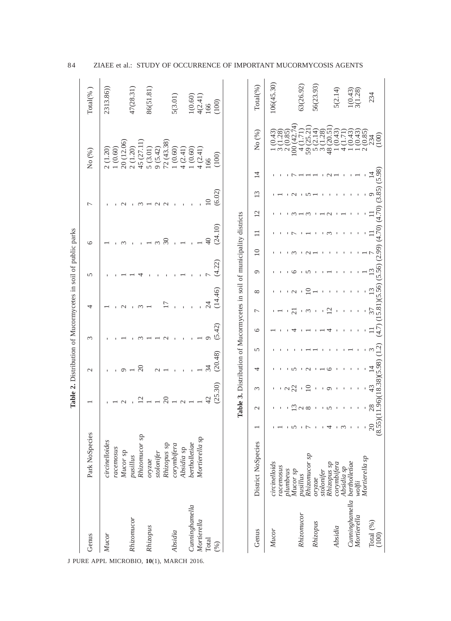|                                |                    |                                                             |               |              | Table 2. Distribution of Mucormycetes in soil of public parks |                  |                |              |         |             |         |                |               |                |            |                                                          |
|--------------------------------|--------------------|-------------------------------------------------------------|---------------|--------------|---------------------------------------------------------------|------------------|----------------|--------------|---------|-------------|---------|----------------|---------------|----------------|------------|----------------------------------------------------------|
| Genus<br>J PURE APPL MICROBIO, | Park NoSpecies     |                                                             |               |              | $\mathbf{C}$                                                  | $\epsilon$       | 4              |              | 5       | $\circ$     |         | $\overline{ }$ |               | No (%)         |            | Total <sup>(%</sup>                                      |
| Mucor                          | circinelloides     |                                                             |               |              |                                                               |                  |                |              |         |             |         |                |               | 2(1.20)        |            | 2313.86)                                                 |
|                                | racemosus          |                                                             |               |              |                                                               |                  |                |              |         |             |         |                |               | 1(0.60)        |            |                                                          |
|                                | Mucor sp           |                                                             |               |              |                                                               |                  |                |              |         |             |         |                |               |                | 20 (12.06) |                                                          |
| Rhizomucor                     | pusillus           |                                                             |               |              |                                                               |                  |                |              |         |             |         |                |               | 2(1.20)        |            | 47(28.31)                                                |
|                                | Rhizomucor sp      |                                                             |               |              |                                                               |                  |                |              |         |             |         |                |               | 45 (27.        |            |                                                          |
| Rhizopus<br>10(1), MARCH 2016. | oryzae             |                                                             |               |              |                                                               |                  |                |              |         |             |         |                |               | 5 (3.01        |            | 86(51.81)                                                |
|                                | stolonifer         |                                                             |               |              |                                                               |                  |                |              |         |             |         |                |               | 9(5.42)        |            |                                                          |
|                                | Rhizopus sp        |                                                             |               |              |                                                               |                  |                |              |         |             |         |                |               |                | 72(43.38)  |                                                          |
| Absidia                        | corymbifera        |                                                             |               |              |                                                               |                  |                |              |         |             |         |                |               | 1(0.60)        |            | 5(3.01)                                                  |
|                                | Absidia sp         |                                                             |               |              |                                                               |                  |                |              |         |             |         |                |               | 4(2.41)        |            |                                                          |
| Cunninghamella                 | bertholletiae      |                                                             |               |              |                                                               |                  |                |              |         |             |         |                |               | (0.60)         |            |                                                          |
| Mortierella                    | Mortierella sp     |                                                             |               |              |                                                               |                  |                |              |         |             |         |                |               | 4(2.41)        |            | $\begin{array}{c} 1(0.60) \\ 4(2.41) \\ 166 \end{array}$ |
| Total                          |                    |                                                             |               |              |                                                               |                  |                |              |         |             |         |                |               | 166            |            |                                                          |
| (%)                            |                    |                                                             |               | (25.30)      | (20.48)                                                       | (5.42)           |                | (14.46)      | (4.22)  |             | (24.10) |                | (6.02)        | (100)          |            | (100)                                                    |
|                                |                    |                                                             |               |              |                                                               |                  |                |              |         |             |         |                |               |                |            |                                                          |
| Genus                          | District NoSpecies |                                                             | $\mathcal{C}$ | $\epsilon$   | 4                                                             | ৩<br>5           | $\overline{ }$ | ${}^{\circ}$ | $\circ$ | $\supseteq$ |         | 12             | $\frac{3}{2}$ | $\overline{4}$ | No (%)     | Total(%)                                                 |
| Mucor                          | circinelloids      |                                                             |               |              |                                                               |                  |                |              |         |             |         |                |               |                | (0.43)     | 106(45.30)                                               |
|                                | racemosus          | $\overline{1}$                                              |               |              |                                                               |                  |                |              |         |             |         |                |               |                | 1.28       |                                                          |
|                                | plumbeus           | $\overline{5}$                                              |               |              |                                                               |                  |                |              |         |             |         |                |               |                |            |                                                          |
|                                | Mucor sp           |                                                             |               |              |                                                               |                  |                |              |         |             |         |                |               |                | $\infty$   |                                                          |
| Rhizomucor                     | pusillus           | $\overline{1}$ $\overline{1}$ $\overline{1}$ $\overline{1}$ | $\sim$        |              |                                                               |                  |                |              |         |             |         |                |               |                | 4          | 63(26.92)                                                |
|                                | Rhizomucor sp      |                                                             |               |              |                                                               |                  |                |              |         |             |         |                |               |                | 59         |                                                          |
| Rhizopus                       | oryzae             |                                                             |               |              |                                                               |                  |                |              |         |             |         |                |               |                | 2.14)      | 56(23.93)                                                |
|                                | stolonifer         | $\mathbf{1}$                                                |               |              |                                                               |                  |                |              |         |             |         |                |               |                | (82)       |                                                          |
|                                | Rhizopus sp        | 4                                                           | n             | $\circ$      |                                                               |                  | $\bar{\omega}$ |              |         |             |         |                |               |                | 20.51      |                                                          |
| Absidia                        | corymbifera        | ്                                                           |               |              |                                                               |                  |                |              |         |             |         |                |               |                |            | 5(2.14)                                                  |
|                                | Absidia sp         |                                                             |               | $\mathbf{I}$ |                                                               |                  |                |              |         |             |         |                |               |                |            |                                                          |
| Cunninghamella bertholletiae   |                    | $\,$ l                                                      |               |              |                                                               |                  |                |              |         |             |         |                |               |                |            | $1(0.43)$<br>$3(1.28)$                                   |
| Mortierella                    | wolfii             |                                                             |               |              |                                                               |                  |                |              |         |             |         |                |               |                |            |                                                          |
|                                | Mortierella sp     | $\mathbf I$                                                 |               |              |                                                               |                  |                |              |         |             |         |                |               |                | 0.85       |                                                          |
| Total $(\%$ ) $(100)$          |                    | $\frac{28}{8}$                                              |               |              |                                                               | $\overline{4.7}$ |                |              |         |             |         |                |               |                | 100        | 234                                                      |

84 ZIAEE et al.: STUDY OF OCCURRENCE OF IMPORTANT MUCORMYCOSIS AGENTS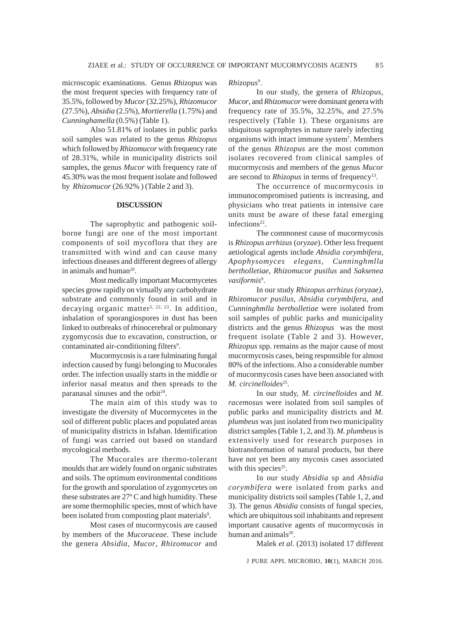microscopic examinations. Genus *Rhizopus* was the most frequent species with frequency rate of 35.5%, followed by *Mucor* (32.25%), *Rhizomucor* (27.5%), *Absidia* (2.5%), *Mortierella* (1.75%) and *Cunninghamella* (0.5%) (Table 1).

Also 51.81% of isolates in public parks soil samples was related to the genus *Rhizopus* which followed by *Rhizomucor* with frequency rate of 28.31%, while in municipality districts soil samples, the genus *Mucor* with frequency rate of 45.30% was the most frequent isolate and followed by *Rhizomucor* (26.92% ) (Table 2 and 3).

#### **DISCUSSION**

The saprophytic and pathogenic soilborne fungi are one of the most important components of soil mycoflora that they are transmitted with wind and can cause many infectious diseases and different degrees of allergy in animals and human<sup>20</sup>.

Most medically important Mucormycetes species grow rapidly on virtually any carbohydrate substrate and commonly found in soil and in decaying organic matter<sup>5, 22, 23</sup>. In addition, inhalation of sporangiospores in dust has been linked to outbreaks of rhinocerebral or pulmonary zygomycosis due to excavation, construction, or contaminated air-conditioning filters<sup>9</sup>.

Mucormycosis is a rare fulminating fungal infection caused by fungi belonging to Mucorales order. The infection usually starts in the middle or inferior nasal meatus and then spreads to the paranasal sinuses and the orbit $24$ .

The main aim of this study was to investigate the diversity of Mucormycetes in the soil of different public places and populated areas of municipality districts in Isfahan. Identification of fungi was carried out based on standard mycological methods.

The Mucorales are thermo-tolerant moulds that are widely found on organic substrates and soils. The optimum environmental conditions for the growth and sporulation of zygomycetes on these substrates are 27º C and high humidity. These are some thermophilic species, most of which have been isolated from composting plant materials<sup>9</sup>.

Most cases of mucormycosis are caused by members of the *Mucoraceae*. These include the genera *Absidia, Mucor*, *Rhizomucor* and

#### *Rhizopus*<sup>9</sup> .

In our study, the genera of *Rhizopus, Mucor*, and *Rhizomucor* were dominant genera with frequency rate of 35.5%, 32.25%, and 27.5% respectively (Table 1). These organisms are ubiquitous saprophytes in nature rarely infecting organisms with intact immune system7 . Members of the genus *Rhizopus* are the most common isolates recovered from clinical samples of mucormycosis and members of the genus *Mucor* are second to *Rhizopus* in terms of frequency<sup>13</sup>.

The occurrence of mucormycosis in immunocompromised patients is increasing, and physicians who treat patients in intensive care units must be aware of these fatal emerging infections<sup>22</sup>.

The commonest cause of mucormycosis is *Rhizopus arrhizus* (*oryzae*). Other less frequent aetiological agents include *Absidia corymbifera, Apophysomyces elegans, Cunninghmlla bertholletiae, Rhizomucor pusilus* and *Saksenea vasiformis*<sup>9</sup> .

In our study *Rhizopus arrhizus (oryzae)*, *Rhizomucor pusilus, Absidia corymbifera,* and *Cunninghmlla bertholletiae* were isolated from soil samples of public parks and municipality districts and the genus *Rhizopus* was the most frequent isolate (Table 2 and 3). However, *Rhizopus* spp. remains as the major cause of most mucormycosis cases, being responsible for almost 80% of the infections. Also a considerable number of mucormycosis cases have been associated with *M. circinelloides*25.

In our study, *M. circinelloides* and *M. racemosus* were isolated from soil samples of public parks and municipality districts and *M. plumbeus* was just isolated from two municipality district samples (Table 1, 2, and 3). *M. plumbeus* is extensively used for research purposes in biotransformation of natural products, but there have not yet been any mycosis cases associated with this species<sup>25</sup>.

In our study *Absidia* sp and *Absidia corymbifera* were isolated from parks and municipality districts soil samples (Table 1, 2, and 3). The genus *Absidia* consists of fungal species, which are ubiquitous soil inhabitants and represent important causative agents of mucormycosis in human and animals $26$ .

Malek *et al*. (2013) isolated 17 different

J PURE APPL MICROBIO*,* **10**(1), MARCH 2016.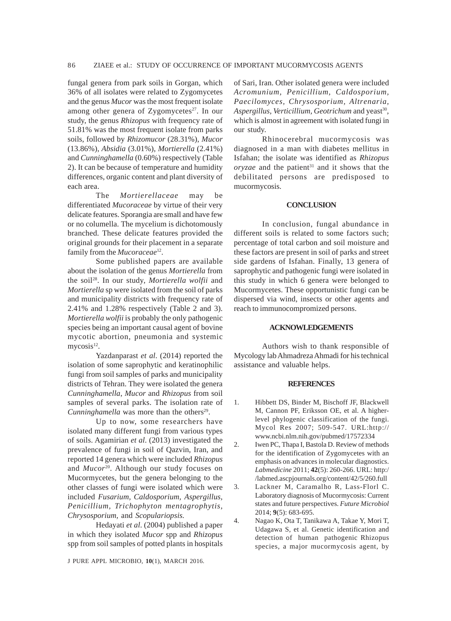fungal genera from park soils in Gorgan, which 36% of all isolates were related to Zygomycetes and the genus *Mucor* was the most frequent isolate among other genera of Zygomycetes<sup>27</sup>. In our study, the genus *Rhizopus* with frequency rate of 51.81% was the most frequent isolate from parks soils, followed by *Rhizomucor* (28.31%), *Mucor* (13.86%), *Absidia* (3.01%), *Mortierella* (2.41%) and *Cunninghamella* (0.60%) respectively (Table 2). It can be because of temperature and humidity differences, organic content and plant diversity of each area.

The *Mortierellaceae* may be differentiated *Mucoraceae* by virtue of their very delicate features. Sporangia are small and have few or no columella. The mycelium is dichotomously branched. These delicate features provided the original grounds for their placement in a separate family from the *Mucoraceae*12.

Some published papers are available about the isolation of the genus *Mortierella* from the soil28. In our study, *Mortierella wolfii* and *Mortierella* sp were isolated from the soil of parks and municipality districts with frequency rate of 2.41% and 1.28% respectively (Table 2 and 3). *Mortierella wolfii* is probably the only pathogenic species being an important causal agent of bovine mycotic abortion, pneumonia and systemic mycosis $12$ .

Yazdanparast *et al*. (2014) reported the isolation of some saprophytic and keratinophilic fungi from soil samples of parks and municipality districts of Tehran. They were isolated the genera *Cunninghamella*, *Mucor* and *Rhizopus* from soil samples of several parks. The isolation rate of *Cunninghamella* was more than the others<sup>29</sup>.

Up to now, some researchers have isolated many different fungi from various types of soils. Agamirian *et al*. (2013) investigated the prevalence of fungi in soil of Qazvin, Iran, and reported 14 genera which were included *Rhizopus* and *Mucor*20. Although our study focuses on Mucormycetes, but the genera belonging to the other classes of fungi were isolated which were included *Fusarium, Caldosporium, Aspergillus, Penicillium, Trichophyton mentagrophytis, Chrysosporium,* and *Scopulariopsis.*

Hedayati *et al*. (2004) published a paper in which they isolated *Mucor* spp and *Rhizopus* spp from soil samples of potted plants in hospitals

J PURE APPL MICROBIO*,* **10**(1), MARCH 2016.

of Sari, Iran. Other isolated genera were included *Acromunium, Penicillium, Caldosporium, Paecilomyces, Chrysosporium, Altrenaria,* Aspergillus, Verticillium, Geotrichum and yeast<sup>30</sup>, which is almost in agreement with isolated fungi in our study.

Rhinocerebral mucormycosis was diagnosed in a man with diabetes mellitus in Isfahan; the isolate was identified as *Rhizopus*  $oryzae$  and the patient<sup>31</sup> and it shows that the debilitated persons are predisposed to mucormycosis.

#### **CONCLUSION**

In conclusion, fungal abundance in different soils is related to some factors such; percentage of total carbon and soil moisture and these factors are present in soil of parks and street side gardens of Isfahan. Finally, 13 genera of saprophytic and pathogenic fungi were isolated in this study in which 6 genera were belonged to Mucormycetes. These opportunistic fungi can be dispersed via wind, insects or other agents and reach to immunocompromized persons.

## **ACKNOWLEDGEMENTS**

Authors wish to thank responsible of Mycology lab Ahmadreza Ahmadi for his technical assistance and valuable helps.

#### **REFERENCES**

- 1. Hibbett DS, Binder M, Bischoff JF, Blackwell M, Cannon PF, Eriksson OE, et al. A higherlevel phylogenic classification of the fungi. Mycol Res 2007; 509-547. URL:http:// www.ncbi.nlm.nih.gov/pubmed/17572334
- 2. Iwen PC, Thapa I, Bastola D. Review of methods for the identification of Zygomycetes with an emphasis on advances in molecular diagnostics. *Labmedicine* 2011; **42**(5): 260-266. URL: http:/ /labmed.ascpjournals.org/content/42/5/260.full
- 3. Lackner M, Caramalho R, Lass-Florl C. Laboratory diagnosis of Mucormycosis: Current states and future perspectives. *Future Microbiol* 2014; **9**(5): 683-695.
- 4. Nagao K, Ota T, Tanikawa A, Takae Y, Mori T, Udagawa S, et al. Genetic identification and detection of human pathogenic Rhizopus species, a major mucormycosis agent, by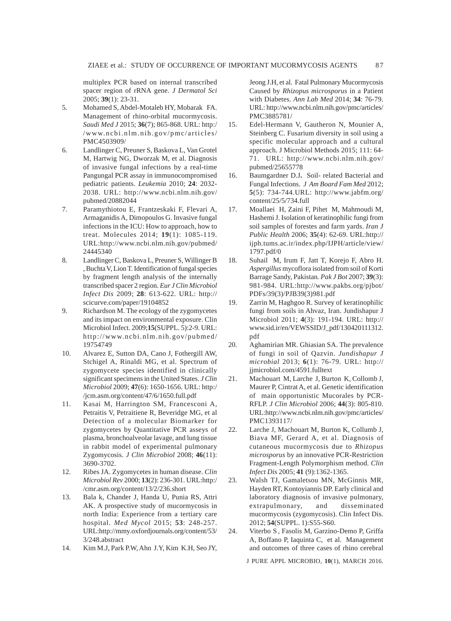multiplex PCR based on internal transcribed spacer region of rRNA gene. *J Dermatol Sci* 2005; **39**(1): 23-31.

- 5. Mohamed S, Abdel-Motaleb HY, Mobarak FA. Management of rhino-orbital mucormycosis. *Saudi Med J* 2015; **36**(7); 865-868. URL: http:/ /www.ncbi.nlm.nih.gov/pmc/articles/ PMC4503909/
- 6. Landlinger C, Preuner S, Baskova L, Van Grotel M, Hartwig NG, Dworzak M, et al. Diagnosis of invasive fungal infections by a real-time Pangungal PCR assay in immunocompromised pediatric patients. *Leukemia* 2010; **24**: 2032- 2038. URL: http://www.ncbi.nlm.nih.gov/ pubmed/20882044
- 7. Paramythiotou E, Frantzeskaki F, Flevari A, Armaganidis A, Dimopoulos G. Invasive fungal infections in the ICU: How to approach, how to treat. Molecules 2014; **19**(1): 1085-119. URL:http://www.ncbi.nlm.nih.gov/pubmed/ 24445340
- 8. Landlinger C, Baskova L, Preuner S, Willinger B , Buchta V, Lion T. Identification of fungal species by fragment length analysis of the internally transcribed spacer 2 region. *Eur J Clin Microbiol Infect Dis* 2009; **28**: 613-622. URL: http:// scicurve.com/paper/19104852
- 9. Richardson M. The ecology of the zygomycetes and its impact on environmental exposure. Clin Microbiol Infect. 2009;**15**(SUPPL. 5):2-9. URL: http://www.ncbi.nlm.nih.gov/pubmed/ 19754749
- 10. Alvarez E, Sutton DA, Cano J, Fothergill AW, Stchigel A, Rinaldi MG, et al. Spectrum of zygomycete species identified in clinically significant specimens in the United States. *J Clin Microbiol* 2009; **47**(6): 1650-1656. URL: http:/ /jcm.asm.org/content/47/6/1650.full.pdf
- 11. Kasai M, Harrington SM, Francesconi A, Petraitis V, Petraitiene R, Beveridge MG, et al Detection of a molecular Biomarker for zygomycetes by Quantitative PCR asseys of plasma, bronchoalveolar lavage, and lung tissue in rabbit model of experimental pulmonary Zygomycosis. *J Clin Microbiol* 2008; **46**(11): 3690-3702.
- 12. Ribes JA. Zygomycetes in human disease. *Clin Microbiol Rev* 2000; **13**(2): 236-301. URL:http:/ /cmr.asm.org/content/13/2/236.short
- 13. Bala k, Chander J, Handa U, Punia RS, Attri AK. A prospective study of mucormycosis in north India: Experience from a tertiary care hospital. *Med Mycol* 2015; **53**: 248-257. URL:http://mmy.oxfordjournals.org/content/53/ 3/248.abstract
- 14. Kim M.J, Park P.W, Ahn J.Y, Kim K.H, Seo JY,

Jeong J.H, et al. Fatal Pulmonary Mucormycosis Caused by *Rhizopus microsporus* in a Patient with Diabetes. *Ann Lab Med* 2014; **34**: 76-79. URL: http://www.ncbi.nlm.nih.gov/pmc/articles/ PMC3885781/

- 15. Edel-Hermann V, Gautheron N, Mounier A, Steinberg C. Fusarium diversity in soil using a specific molecular approach and a cultural approach. J Microbiol Methods 2015; 111: 64- 71. URL: http://www.ncbi.nlm.nih.gov/ pubmed/25655778
- 16. Baumgardner D.J**.** Soil- related Bacterial and Fungal Infections. *J Am Board Fam Med* 2012; **5**(5): 734-744.URL: http://www.jabfm.org/ content/25/5/734.full
- 17. Moallaei H, Zaini F, Pihet M, Mahmoudi M, Hashemi J. Isolation of keratinophilic fungi from soil samples of forestes and farm yards. *Iran J Public Health* 2006; **35**(4): 62-69. URL:http:// ijph.tums.ac.ir/index.php/IJPH/article/view/ 1797.pdf/0
- 18. Suhail M, Irum F, Jatt T, Korejo F, Abro H. *Aspergillus* mycoflora isolated from soil of Korti Barrage Sandy, Pakistan*. Pak J Bot* 2007; **39**(3): 981-984. URL:http://www.pakbs.org/pjbot/ PDFs/39(3)/PJB39(3)981.pdf
- 19. Zarrin M, Haghgoo R. Survey of keratinophilic fungi from soils in Ahvaz, Iran. Jundishapur J Microbiol 2011; **4**(3): 191-194. URL: http:// www.sid.ir/en/VEWSSID/J\_pdf/130420111312. pdf
- 20. Aghamirian MR. Ghiasian SA. The prevalence of fungi in soil of Qazvin. *Jundishapur J microbial* 2013; **6**(1): 76-79. URL: http:// jjmicrobiol.com/4591.fulltext
- 21. Machouart M, Larche J, Burton K, Collomb J, Maurer P, Cintrat A, et al. Genetic identification of main opportunistic Mucorales by PCR-RFLP. *J Clin Microbiol* 2006; **44**(3): 805-810. URL:http://www.ncbi.nlm.nih.gov/pmc/articles/ PMC1393117/
- 22. Larche J, Machouart M, Burton K, Collumb J, Biava MF, Gerard A, et al. Diagnosis of cutaneous mucormycosis due to *Rhizopus microsporus* by an innovative PCR-Restriction Fragment-Length Polymorphism method. *Clin Infect Dis* 2005; **41** (9):1362-1365.
- 23. Walsh TJ, Gamaletsou MN, McGinnis MR, Hayden RT, Kontoyiannis DP. Early clinical and laboratory diagnosis of invasive pulmonary, extrapulmonary, and disseminated mucormycosis (zygomycosis). Clin Infect Dis. 2012; **54**(SUPPL. 1):S55-S60.
- 24. Viterbo S , Fasolis M, Garzino-Demo P, Griffa A, Boffano P, Iaquinta C, et al. Management and outcomes of three cases of rhino cerebral

J PURE APPL MICROBIO*,* **10**(1), MARCH 2016.